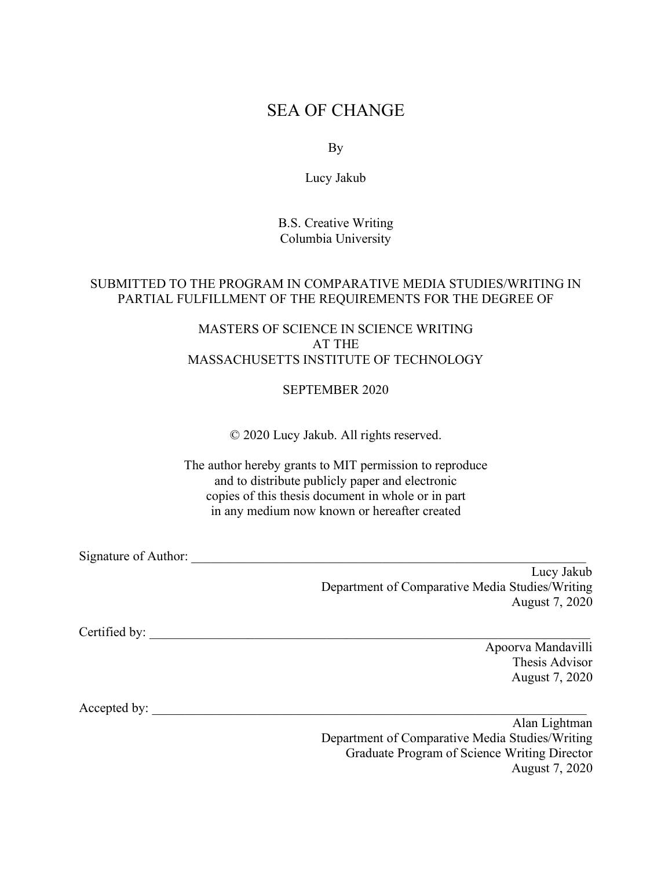# SEA OF CHANGE

By

Lucy Jakub

B.S. Creative Writing Columbia University

## SUBMITTED TO THE PROGRAM IN COMPARATIVE MEDIA STUDIES/WRITING IN PARTIAL FULFILLMENT OF THE REQUIREMENTS FOR THE DEGREE OF

# MASTERS OF SCIENCE IN SCIENCE WRITING AT THE MASSACHUSETTS INSTITUTE OF TECHNOLOGY

### SEPTEMBER 2020

© 2020 Lucy Jakub. All rights reserved.

The author hereby grants to MIT permission to reproduce and to distribute publicly paper and electronic copies of this thesis document in whole or in part in any medium now known or hereafter created

Signature of Author:

Lucy Jakub Department of Comparative Media Studies/Writing August 7, 2020

Certified by:

Apoorva Mandavilli Thesis Advisor August 7, 2020

Accepted by: \_\_\_\_\_\_\_\_\_\_\_\_\_\_\_\_\_\_\_\_\_\_\_\_\_\_\_\_\_\_\_\_\_\_\_\_\_\_\_\_\_\_\_\_\_\_\_\_\_\_\_\_\_\_\_\_\_\_\_\_\_\_\_\_\_\_

Alan Lightman Department of Comparative Media Studies/Writing Graduate Program of Science Writing Director August 7, 2020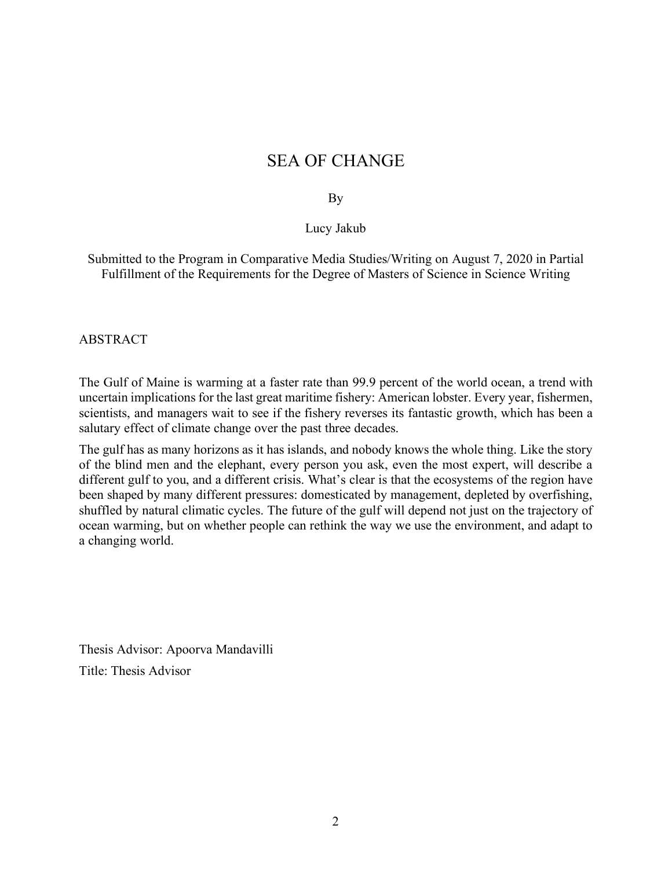# SEA OF CHANGE

### By

### Lucy Jakub

Submitted to the Program in Comparative Media Studies/Writing on August 7, 2020 in Partial Fulfillment of the Requirements for the Degree of Masters of Science in Science Writing

#### ABSTRACT

The Gulf of Maine is warming at a faster rate than 99.9 percent of the world ocean, a trend with uncertain implications for the last great maritime fishery: American lobster. Every year, fishermen, scientists, and managers wait to see if the fishery reverses its fantastic growth, which has been a salutary effect of climate change over the past three decades.

The gulf has as many horizons as it has islands, and nobody knows the whole thing. Like the story of the blind men and the elephant, every person you ask, even the most expert, will describe a different gulf to you, and a different crisis. What's clear is that the ecosystems of the region have been shaped by many different pressures: domesticated by management, depleted by overfishing, shuffled by natural climatic cycles. The future of the gulf will depend not just on the trajectory of ocean warming, but on whether people can rethink the way we use the environment, and adapt to a changing world.

Thesis Advisor: Apoorva Mandavilli Title: Thesis Advisor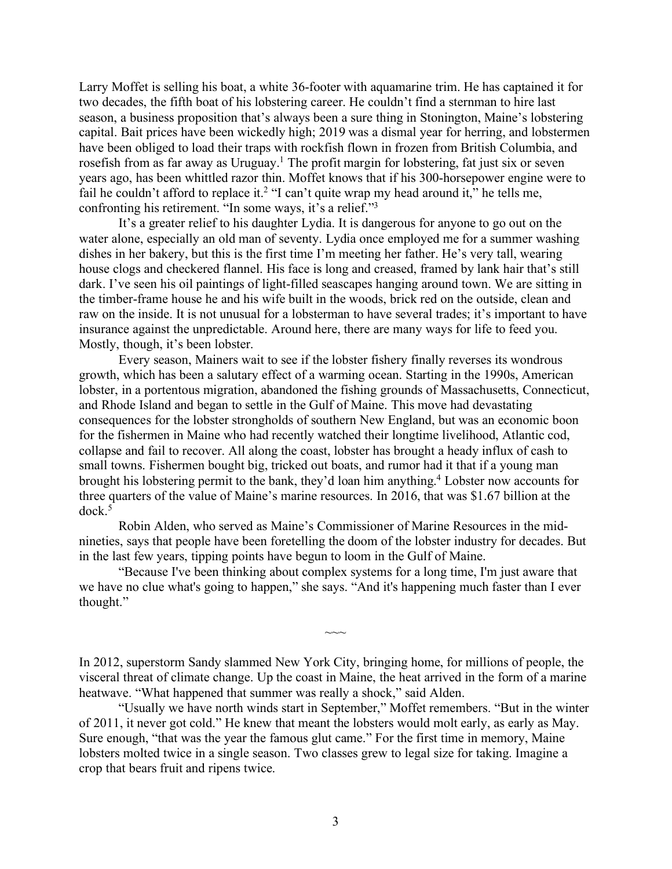Larry Moffet is selling his boat, a white 36-footer with aquamarine trim. He has captained it for two decades, the fifth boat of his lobstering career. He couldn't find a sternman to hire last season, a business proposition that's always been a sure thing in Stonington, Maine's lobstering capital. Bait prices have been wickedly high; 2019 was a dismal year for herring, and lobstermen have been obliged to load their traps with rockfish flown in frozen from British Columbia, and rosefish from as far away as Uruguay.<sup>1</sup> The profit margin for lobstering, fat just six or seven years ago, has been whittled razor thin. Moffet knows that if his 300-horsepower engine were to fail he couldn't afford to replace it.<sup>2</sup> "I can't quite wrap my head around it," he tells me, confronting his retirement. "In some ways, it's a relief."3

It's a greater relief to his daughter Lydia. It is dangerous for anyone to go out on the water alone, especially an old man of seventy. Lydia once employed me for a summer washing dishes in her bakery, but this is the first time I'm meeting her father. He's very tall, wearing house clogs and checkered flannel. His face is long and creased, framed by lank hair that's still dark. I've seen his oil paintings of light-filled seascapes hanging around town. We are sitting in the timber-frame house he and his wife built in the woods, brick red on the outside, clean and raw on the inside. It is not unusual for a lobsterman to have several trades; it's important to have insurance against the unpredictable. Around here, there are many ways for life to feed you. Mostly, though, it's been lobster.

Every season, Mainers wait to see if the lobster fishery finally reverses its wondrous growth, which has been a salutary effect of a warming ocean. Starting in the 1990s, American lobster, in a portentous migration, abandoned the fishing grounds of Massachusetts, Connecticut, and Rhode Island and began to settle in the Gulf of Maine. This move had devastating consequences for the lobster strongholds of southern New England, but was an economic boon for the fishermen in Maine who had recently watched their longtime livelihood, Atlantic cod, collapse and fail to recover. All along the coast, lobster has brought a heady influx of cash to small towns. Fishermen bought big, tricked out boats, and rumor had it that if a young man brought his lobstering permit to the bank, they'd loan him anything.4 Lobster now accounts for three quarters of the value of Maine's marine resources. In 2016, that was \$1.67 billion at the  $d$ ock. $5$ 

Robin Alden, who served as Maine's Commissioner of Marine Resources in the midnineties, says that people have been foretelling the doom of the lobster industry for decades. But in the last few years, tipping points have begun to loom in the Gulf of Maine.

"Because I've been thinking about complex systems for a long time, I'm just aware that we have no clue what's going to happen," she says. "And it's happening much faster than I ever thought."

In 2012, superstorm Sandy slammed New York City, bringing home, for millions of people, the visceral threat of climate change. Up the coast in Maine, the heat arrived in the form of a marine heatwave. "What happened that summer was really a shock," said Alden.

 $\sim\sim$ 

"Usually we have north winds start in September," Moffet remembers. "But in the winter of 2011, it never got cold." He knew that meant the lobsters would molt early, as early as May. Sure enough, "that was the year the famous glut came." For the first time in memory, Maine lobsters molted twice in a single season. Two classes grew to legal size for taking. Imagine a crop that bears fruit and ripens twice.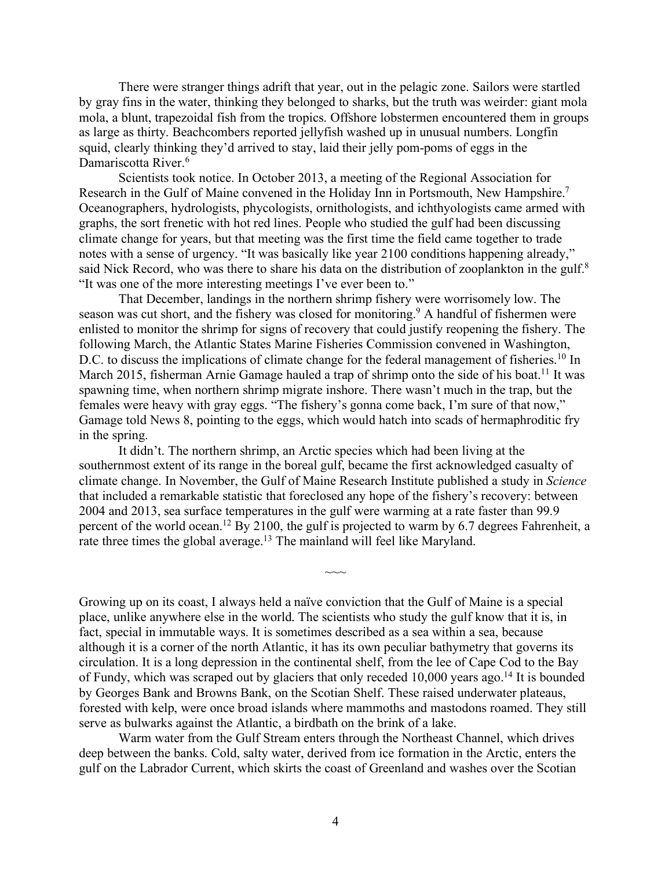There were stranger things adrift that year, out in the pelagic zone. Sailors were startled by gray fins in the water, thinking they belonged to sharks, but the truth was weirder: giant mola mola, a blunt, trapezoidal fish from the tropics. Offshore lobstermen encountered them in groups as large as thirty. Beachcombers reported jellyfish washed up in unusual numbers. Longfin squid, clearly thinking they'd arrived to stay, laid their jelly pom-poms of eggs in the Damariscotta River.<sup>6</sup>

Scientists took notice. In October 2013, a meeting of the Regional Association for Research in the Gulf of Maine convened in the Holiday Inn in Portsmouth, New Hampshire.7 Oceanographers, hydrologists, phycologists, ornithologists, and ichthyologists came armed with graphs, the sort frenetic with hot red lines. People who studied the gulf had been discussing climate change for years, but that meeting was the first time the field came together to trade notes with a sense of urgency. "It was basically like year 2100 conditions happening already," said Nick Record, who was there to share his data on the distribution of zooplankton in the gulf.<sup>8</sup> "It was one of the more interesting meetings I've ever been to."

That December, landings in the northern shrimp fishery were worrisomely low. The season was cut short, and the fishery was closed for monitoring.<sup>9</sup> A handful of fishermen were enlisted to monitor the shrimp for signs of recovery that could justify reopening the fishery. The following March, the Atlantic States Marine Fisheries Commission convened in Washington, D.C. to discuss the implications of climate change for the federal management of fisheries.<sup>10</sup> In March 2015, fisherman Arnie Gamage hauled a trap of shrimp onto the side of his boat.<sup>11</sup> It was spawning time, when northern shrimp migrate inshore. There wasn't much in the trap, but the females were heavy with gray eggs. "The fishery's gonna come back, I'm sure of that now," Gamage told News 8, pointing to the eggs, which would hatch into scads of hermaphroditic fry in the spring.

It didn't. The northern shrimp, an Arctic species which had been living at the southernmost extent of its range in the boreal gulf, became the first acknowledged casualty of climate change. In November, the Gulf of Maine Research Institute published a study in *Science* that included a remarkable statistic that foreclosed any hope of the fishery's recovery: between 2004 and 2013, sea surface temperatures in the gulf were warming at a rate faster than 99.9 percent of the world ocean.12 By 2100, the gulf is projected to warm by 6.7 degrees Fahrenheit, a rate three times the global average.<sup>13</sup> The mainland will feel like Maryland.

 $\sim$ 

Growing up on its coast, I always held a naïve conviction that the Gulf of Maine is a special place, unlike anywhere else in the world. The scientists who study the gulf know that it is, in fact, special in immutable ways. It is sometimes described as a sea within a sea, because although it is a corner of the north Atlantic, it has its own peculiar bathymetry that governs its circulation. It is a long depression in the continental shelf, from the lee of Cape Cod to the Bay of Fundy, which was scraped out by glaciers that only receded  $10,000$  years ago.<sup>14</sup> It is bounded by Georges Bank and Browns Bank, on the Scotian Shelf. These raised underwater plateaus, forested with kelp, were once broad islands where mammoths and mastodons roamed. They still serve as bulwarks against the Atlantic, a birdbath on the brink of a lake.

Warm water from the Gulf Stream enters through the Northeast Channel, which drives deep between the banks. Cold, salty water, derived from ice formation in the Arctic, enters the gulf on the Labrador Current, which skirts the coast of Greenland and washes over the Scotian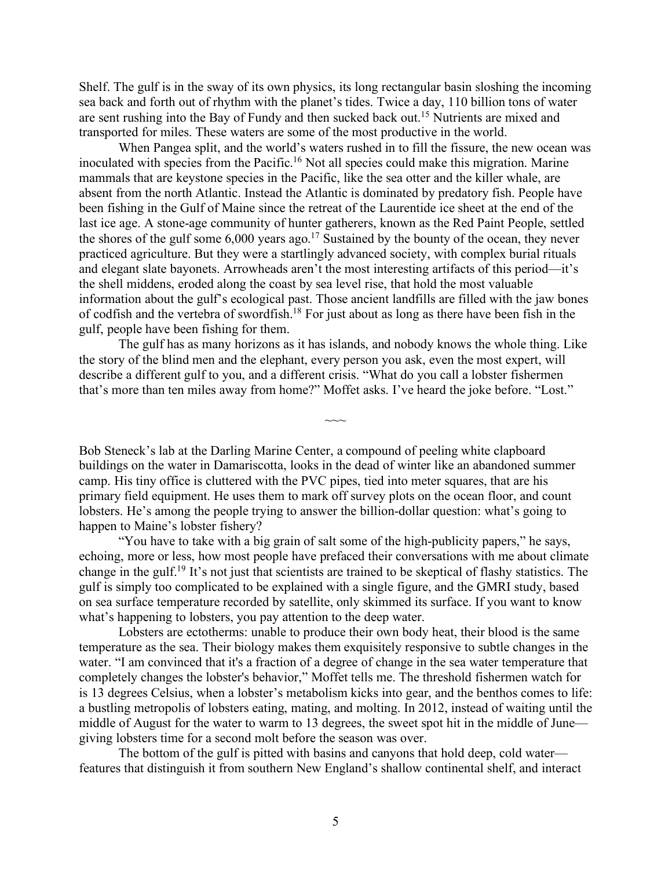Shelf. The gulf is in the sway of its own physics, its long rectangular basin sloshing the incoming sea back and forth out of rhythm with the planet's tides. Twice a day, 110 billion tons of water are sent rushing into the Bay of Fundy and then sucked back out.15 Nutrients are mixed and transported for miles. These waters are some of the most productive in the world.

When Pangea split, and the world's waters rushed in to fill the fissure, the new ocean was inoculated with species from the Pacific.<sup>16</sup> Not all species could make this migration. Marine mammals that are keystone species in the Pacific, like the sea otter and the killer whale, are absent from the north Atlantic. Instead the Atlantic is dominated by predatory fish. People have been fishing in the Gulf of Maine since the retreat of the Laurentide ice sheet at the end of the last ice age. A stone-age community of hunter gatherers, known as the Red Paint People, settled the shores of the gulf some 6,000 years ago.17 Sustained by the bounty of the ocean, they never practiced agriculture. But they were a startlingly advanced society, with complex burial rituals and elegant slate bayonets. Arrowheads aren't the most interesting artifacts of this period—it's the shell middens, eroded along the coast by sea level rise, that hold the most valuable information about the gulf's ecological past. Those ancient landfills are filled with the jaw bones of codfish and the vertebra of swordfish.18 For just about as long as there have been fish in the gulf, people have been fishing for them.

The gulf has as many horizons as it has islands, and nobody knows the whole thing. Like the story of the blind men and the elephant, every person you ask, even the most expert, will describe a different gulf to you, and a different crisis. "What do you call a lobster fishermen that's more than ten miles away from home?" Moffet asks. I've heard the joke before. "Lost."

 $\sim$ 

Bob Steneck's lab at the Darling Marine Center, a compound of peeling white clapboard buildings on the water in Damariscotta, looks in the dead of winter like an abandoned summer camp. His tiny office is cluttered with the PVC pipes, tied into meter squares, that are his primary field equipment. He uses them to mark off survey plots on the ocean floor, and count lobsters. He's among the people trying to answer the billion-dollar question: what's going to happen to Maine's lobster fishery?

"You have to take with a big grain of salt some of the high-publicity papers," he says, echoing, more or less, how most people have prefaced their conversations with me about climate change in the gulf.19 It's not just that scientists are trained to be skeptical of flashy statistics. The gulf is simply too complicated to be explained with a single figure, and the GMRI study, based on sea surface temperature recorded by satellite, only skimmed its surface. If you want to know what's happening to lobsters, you pay attention to the deep water.

Lobsters are ectotherms: unable to produce their own body heat, their blood is the same temperature as the sea. Their biology makes them exquisitely responsive to subtle changes in the water. "I am convinced that it's a fraction of a degree of change in the sea water temperature that completely changes the lobster's behavior," Moffet tells me. The threshold fishermen watch for is 13 degrees Celsius, when a lobster's metabolism kicks into gear, and the benthos comes to life: a bustling metropolis of lobsters eating, mating, and molting. In 2012, instead of waiting until the middle of August for the water to warm to 13 degrees, the sweet spot hit in the middle of June giving lobsters time for a second molt before the season was over.

The bottom of the gulf is pitted with basins and canyons that hold deep, cold water features that distinguish it from southern New England's shallow continental shelf, and interact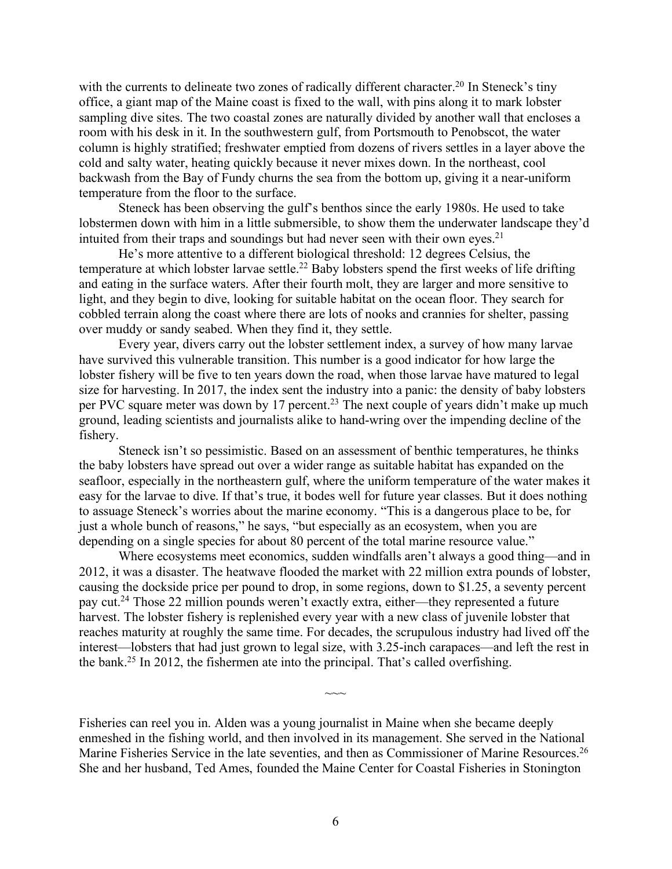with the currents to delineate two zones of radically different character.<sup>20</sup> In Steneck's tiny office, a giant map of the Maine coast is fixed to the wall, with pins along it to mark lobster sampling dive sites. The two coastal zones are naturally divided by another wall that encloses a room with his desk in it. In the southwestern gulf, from Portsmouth to Penobscot, the water column is highly stratified; freshwater emptied from dozens of rivers settles in a layer above the cold and salty water, heating quickly because it never mixes down. In the northeast, cool backwash from the Bay of Fundy churns the sea from the bottom up, giving it a near-uniform temperature from the floor to the surface.

Steneck has been observing the gulf's benthos since the early 1980s. He used to take lobstermen down with him in a little submersible, to show them the underwater landscape they'd intuited from their traps and soundings but had never seen with their own eyes.<sup>21</sup>

He's more attentive to a different biological threshold: 12 degrees Celsius, the temperature at which lobster larvae settle.<sup>22</sup> Baby lobsters spend the first weeks of life drifting and eating in the surface waters. After their fourth molt, they are larger and more sensitive to light, and they begin to dive, looking for suitable habitat on the ocean floor. They search for cobbled terrain along the coast where there are lots of nooks and crannies for shelter, passing over muddy or sandy seabed. When they find it, they settle.

Every year, divers carry out the lobster settlement index, a survey of how many larvae have survived this vulnerable transition. This number is a good indicator for how large the lobster fishery will be five to ten years down the road, when those larvae have matured to legal size for harvesting. In 2017, the index sent the industry into a panic: the density of baby lobsters per PVC square meter was down by 17 percent.<sup>23</sup> The next couple of years didn't make up much ground, leading scientists and journalists alike to hand-wring over the impending decline of the fishery.

Steneck isn't so pessimistic. Based on an assessment of benthic temperatures, he thinks the baby lobsters have spread out over a wider range as suitable habitat has expanded on the seafloor, especially in the northeastern gulf, where the uniform temperature of the water makes it easy for the larvae to dive. If that's true, it bodes well for future year classes. But it does nothing to assuage Steneck's worries about the marine economy. "This is a dangerous place to be, for just a whole bunch of reasons," he says, "but especially as an ecosystem, when you are depending on a single species for about 80 percent of the total marine resource value."

Where ecosystems meet economics, sudden windfalls aren't always a good thing—and in 2012, it was a disaster. The heatwave flooded the market with 22 million extra pounds of lobster, causing the dockside price per pound to drop, in some regions, down to \$1.25, a seventy percent pay cut.24 Those 22 million pounds weren't exactly extra, either—they represented a future harvest. The lobster fishery is replenished every year with a new class of juvenile lobster that reaches maturity at roughly the same time. For decades, the scrupulous industry had lived off the interest—lobsters that had just grown to legal size, with 3.25-inch carapaces—and left the rest in the bank.25 In 2012, the fishermen ate into the principal. That's called overfishing.

Fisheries can reel you in. Alden was a young journalist in Maine when she became deeply enmeshed in the fishing world, and then involved in its management. She served in the National Marine Fisheries Service in the late seventies, and then as Commissioner of Marine Resources.<sup>26</sup> She and her husband, Ted Ames, founded the Maine Center for Coastal Fisheries in Stonington

 $\sim\sim$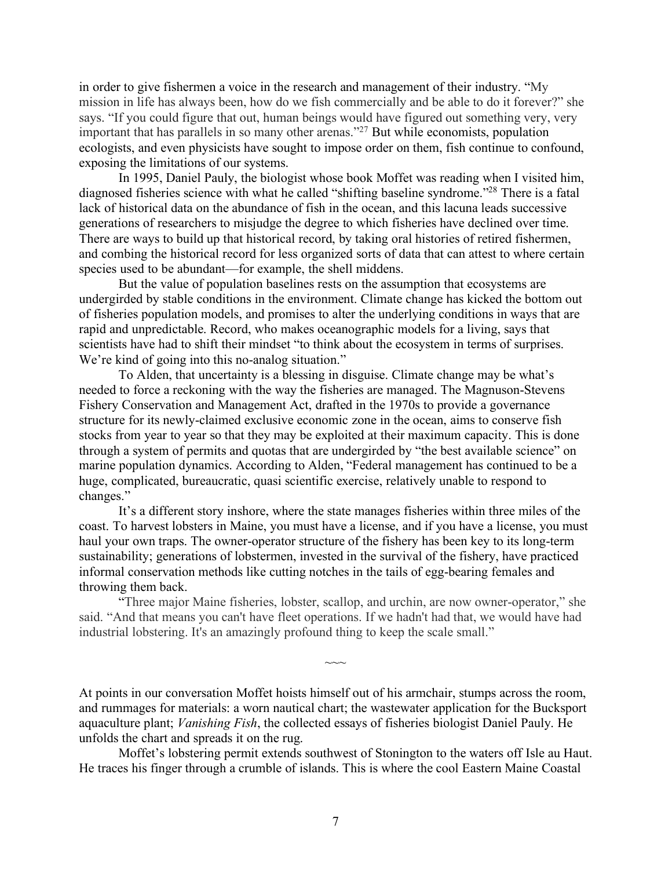in order to give fishermen a voice in the research and management of their industry. "My mission in life has always been, how do we fish commercially and be able to do it forever?" she says. "If you could figure that out, human beings would have figured out something very, very important that has parallels in so many other arenas."27 But while economists, population ecologists, and even physicists have sought to impose order on them, fish continue to confound, exposing the limitations of our systems.

In 1995, Daniel Pauly, the biologist whose book Moffet was reading when I visited him, diagnosed fisheries science with what he called "shifting baseline syndrome."28 There is a fatal lack of historical data on the abundance of fish in the ocean, and this lacuna leads successive generations of researchers to misjudge the degree to which fisheries have declined over time. There are ways to build up that historical record, by taking oral histories of retired fishermen, and combing the historical record for less organized sorts of data that can attest to where certain species used to be abundant—for example, the shell middens.

But the value of population baselines rests on the assumption that ecosystems are undergirded by stable conditions in the environment. Climate change has kicked the bottom out of fisheries population models, and promises to alter the underlying conditions in ways that are rapid and unpredictable. Record, who makes oceanographic models for a living, says that scientists have had to shift their mindset "to think about the ecosystem in terms of surprises. We're kind of going into this no-analog situation."

To Alden, that uncertainty is a blessing in disguise. Climate change may be what's needed to force a reckoning with the way the fisheries are managed. The Magnuson-Stevens Fishery Conservation and Management Act, drafted in the 1970s to provide a governance structure for its newly-claimed exclusive economic zone in the ocean, aims to conserve fish stocks from year to year so that they may be exploited at their maximum capacity. This is done through a system of permits and quotas that are undergirded by "the best available science" on marine population dynamics. According to Alden, "Federal management has continued to be a huge, complicated, bureaucratic, quasi scientific exercise, relatively unable to respond to changes."

It's a different story inshore, where the state manages fisheries within three miles of the coast. To harvest lobsters in Maine, you must have a license, and if you have a license, you must haul your own traps. The owner-operator structure of the fishery has been key to its long-term sustainability; generations of lobstermen, invested in the survival of the fishery, have practiced informal conservation methods like cutting notches in the tails of egg-bearing females and throwing them back.

"Three major Maine fisheries, lobster, scallop, and urchin, are now owner-operator," she said. "And that means you can't have fleet operations. If we hadn't had that, we would have had industrial lobstering. It's an amazingly profound thing to keep the scale small."

 $\sim\sim$ 

At points in our conversation Moffet hoists himself out of his armchair, stumps across the room, and rummages for materials: a worn nautical chart; the wastewater application for the Bucksport aquaculture plant; *Vanishing Fish*, the collected essays of fisheries biologist Daniel Pauly. He unfolds the chart and spreads it on the rug.

Moffet's lobstering permit extends southwest of Stonington to the waters off Isle au Haut. He traces his finger through a crumble of islands. This is where the cool Eastern Maine Coastal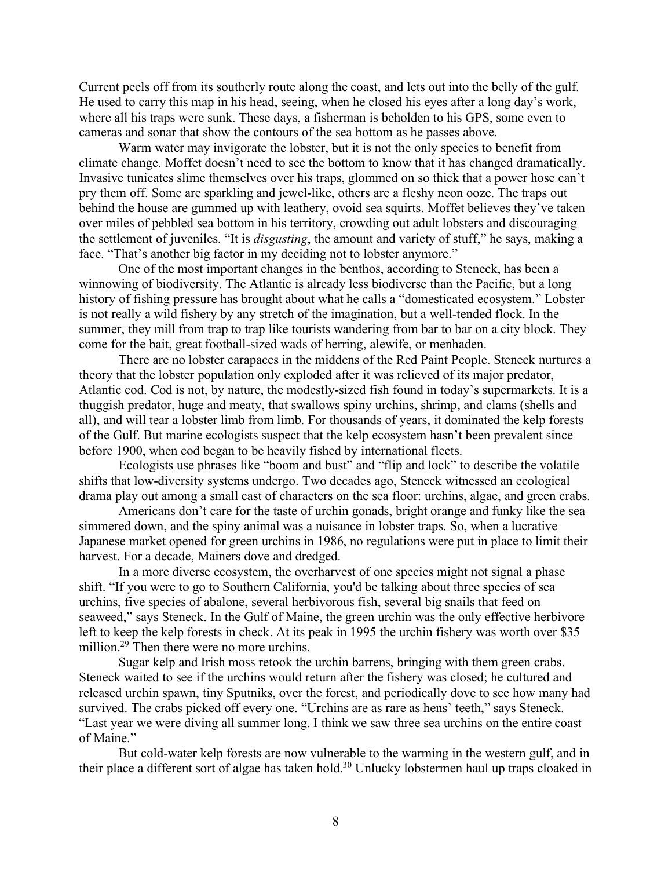Current peels off from its southerly route along the coast, and lets out into the belly of the gulf. He used to carry this map in his head, seeing, when he closed his eyes after a long day's work, where all his traps were sunk. These days, a fisherman is beholden to his GPS, some even to cameras and sonar that show the contours of the sea bottom as he passes above.

Warm water may invigorate the lobster, but it is not the only species to benefit from climate change. Moffet doesn't need to see the bottom to know that it has changed dramatically. Invasive tunicates slime themselves over his traps, glommed on so thick that a power hose can't pry them off. Some are sparkling and jewel-like, others are a fleshy neon ooze. The traps out behind the house are gummed up with leathery, ovoid sea squirts. Moffet believes they've taken over miles of pebbled sea bottom in his territory, crowding out adult lobsters and discouraging the settlement of juveniles. "It is *disgusting*, the amount and variety of stuff," he says, making a face. "That's another big factor in my deciding not to lobster anymore."

One of the most important changes in the benthos, according to Steneck, has been a winnowing of biodiversity. The Atlantic is already less biodiverse than the Pacific, but a long history of fishing pressure has brought about what he calls a "domesticated ecosystem." Lobster is not really a wild fishery by any stretch of the imagination, but a well-tended flock. In the summer, they mill from trap to trap like tourists wandering from bar to bar on a city block. They come for the bait, great football-sized wads of herring, alewife, or menhaden.

There are no lobster carapaces in the middens of the Red Paint People. Steneck nurtures a theory that the lobster population only exploded after it was relieved of its major predator, Atlantic cod. Cod is not, by nature, the modestly-sized fish found in today's supermarkets. It is a thuggish predator, huge and meaty, that swallows spiny urchins, shrimp, and clams (shells and all), and will tear a lobster limb from limb. For thousands of years, it dominated the kelp forests of the Gulf. But marine ecologists suspect that the kelp ecosystem hasn't been prevalent since before 1900, when cod began to be heavily fished by international fleets.

Ecologists use phrases like "boom and bust" and "flip and lock" to describe the volatile shifts that low-diversity systems undergo. Two decades ago, Steneck witnessed an ecological drama play out among a small cast of characters on the sea floor: urchins, algae, and green crabs.

Americans don't care for the taste of urchin gonads, bright orange and funky like the sea simmered down, and the spiny animal was a nuisance in lobster traps. So, when a lucrative Japanese market opened for green urchins in 1986, no regulations were put in place to limit their harvest. For a decade, Mainers dove and dredged.

In a more diverse ecosystem, the overharvest of one species might not signal a phase shift. "If you were to go to Southern California, you'd be talking about three species of sea urchins, five species of abalone, several herbivorous fish, several big snails that feed on seaweed," says Steneck. In the Gulf of Maine, the green urchin was the only effective herbivore left to keep the kelp forests in check. At its peak in 1995 the urchin fishery was worth over \$35 million.<sup>29</sup> Then there were no more urchins.

Sugar kelp and Irish moss retook the urchin barrens, bringing with them green crabs. Steneck waited to see if the urchins would return after the fishery was closed; he cultured and released urchin spawn, tiny Sputniks, over the forest, and periodically dove to see how many had survived. The crabs picked off every one. "Urchins are as rare as hens' teeth," says Steneck. "Last year we were diving all summer long. I think we saw three sea urchins on the entire coast of Maine."

But cold-water kelp forests are now vulnerable to the warming in the western gulf, and in their place a different sort of algae has taken hold.<sup>30</sup> Unlucky lobstermen haul up traps cloaked in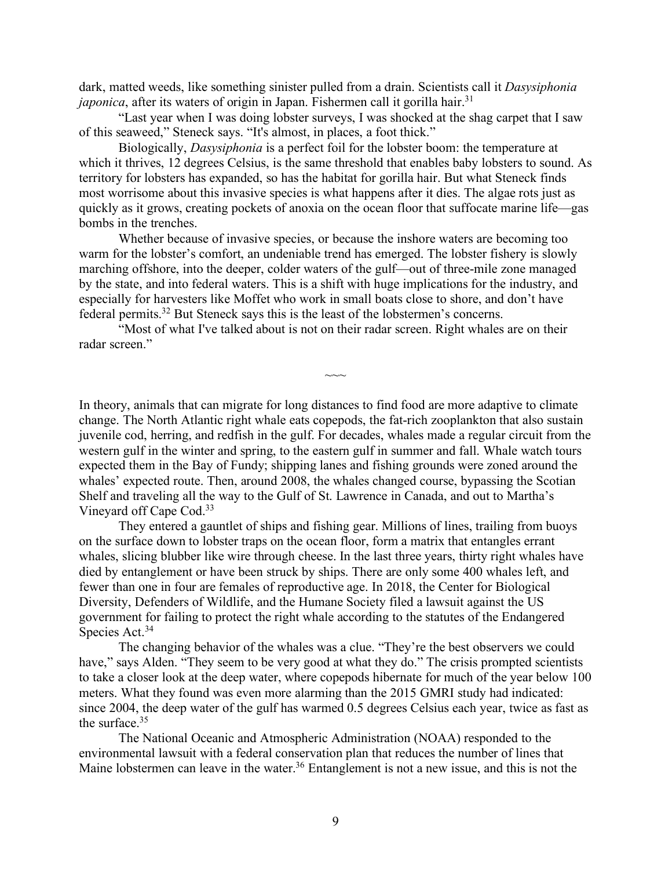dark, matted weeds, like something sinister pulled from a drain. Scientists call it *Dasysiphonia japonica*, after its waters of origin in Japan. Fishermen call it gorilla hair.<sup>31</sup>

"Last year when I was doing lobster surveys, I was shocked at the shag carpet that I saw of this seaweed," Steneck says. "It's almost, in places, a foot thick."

Biologically, *Dasysiphonia* is a perfect foil for the lobster boom: the temperature at which it thrives, 12 degrees Celsius, is the same threshold that enables baby lobsters to sound. As territory for lobsters has expanded, so has the habitat for gorilla hair. But what Steneck finds most worrisome about this invasive species is what happens after it dies. The algae rots just as quickly as it grows, creating pockets of anoxia on the ocean floor that suffocate marine life—gas bombs in the trenches.

Whether because of invasive species, or because the inshore waters are becoming too warm for the lobster's comfort, an undeniable trend has emerged. The lobster fishery is slowly marching offshore, into the deeper, colder waters of the gulf—out of three-mile zone managed by the state, and into federal waters. This is a shift with huge implications for the industry, and especially for harvesters like Moffet who work in small boats close to shore, and don't have federal permits. <sup>32</sup> But Steneck says this is the least of the lobstermen's concerns.

"Most of what I've talked about is not on their radar screen. Right whales are on their radar screen."

In theory, animals that can migrate for long distances to find food are more adaptive to climate change. The North Atlantic right whale eats copepods, the fat-rich zooplankton that also sustain juvenile cod, herring, and redfish in the gulf. For decades, whales made a regular circuit from the western gulf in the winter and spring, to the eastern gulf in summer and fall. Whale watch tours expected them in the Bay of Fundy; shipping lanes and fishing grounds were zoned around the whales' expected route. Then, around 2008, the whales changed course, bypassing the Scotian Shelf and traveling all the way to the Gulf of St. Lawrence in Canada, and out to Martha's Vineyard off Cape Cod.33

 $\sim\sim$ 

They entered a gauntlet of ships and fishing gear. Millions of lines, trailing from buoys on the surface down to lobster traps on the ocean floor, form a matrix that entangles errant whales, slicing blubber like wire through cheese. In the last three years, thirty right whales have died by entanglement or have been struck by ships. There are only some 400 whales left, and fewer than one in four are females of reproductive age. In 2018, the Center for Biological Diversity, Defenders of Wildlife, and the Humane Society filed a lawsuit against the US government for failing to protect the right whale according to the statutes of the Endangered Species Act.<sup>34</sup>

The changing behavior of the whales was a clue. "They're the best observers we could have," says Alden. "They seem to be very good at what they do." The crisis prompted scientists to take a closer look at the deep water, where copepods hibernate for much of the year below 100 meters. What they found was even more alarming than the 2015 GMRI study had indicated: since 2004, the deep water of the gulf has warmed 0.5 degrees Celsius each year, twice as fast as the surface.35

The National Oceanic and Atmospheric Administration (NOAA) responded to the environmental lawsuit with a federal conservation plan that reduces the number of lines that Maine lobstermen can leave in the water.<sup>36</sup> Entanglement is not a new issue, and this is not the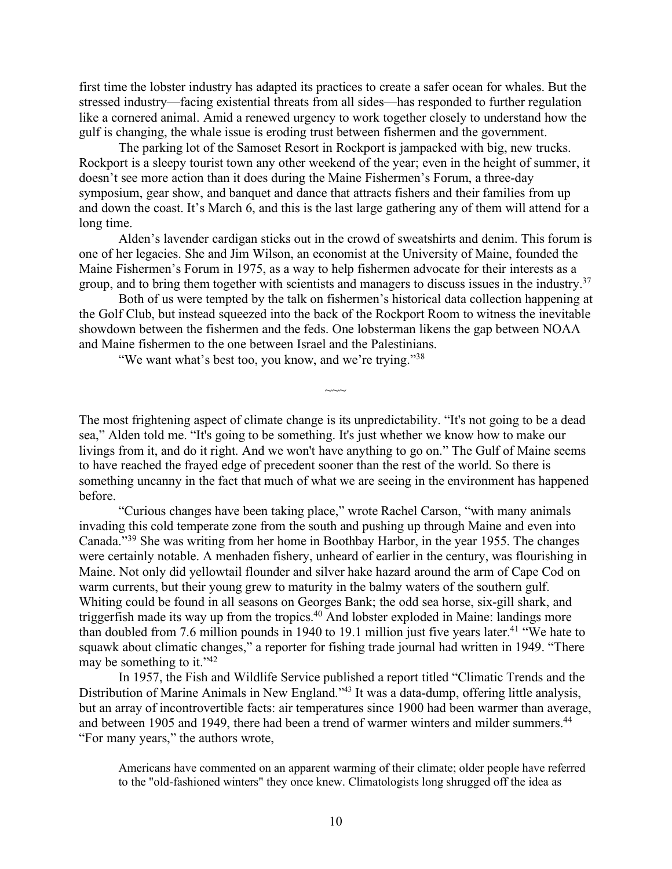first time the lobster industry has adapted its practices to create a safer ocean for whales. But the stressed industry—facing existential threats from all sides—has responded to further regulation like a cornered animal. Amid a renewed urgency to work together closely to understand how the gulf is changing, the whale issue is eroding trust between fishermen and the government.

The parking lot of the Samoset Resort in Rockport is jampacked with big, new trucks. Rockport is a sleepy tourist town any other weekend of the year; even in the height of summer, it doesn't see more action than it does during the Maine Fishermen's Forum, a three-day symposium, gear show, and banquet and dance that attracts fishers and their families from up and down the coast. It's March 6, and this is the last large gathering any of them will attend for a long time.

Alden's lavender cardigan sticks out in the crowd of sweatshirts and denim. This forum is one of her legacies. She and Jim Wilson, an economist at the University of Maine, founded the Maine Fishermen's Forum in 1975, as a way to help fishermen advocate for their interests as a group, and to bring them together with scientists and managers to discuss issues in the industry. 37

Both of us were tempted by the talk on fishermen's historical data collection happening at the Golf Club, but instead squeezed into the back of the Rockport Room to witness the inevitable showdown between the fishermen and the feds. One lobsterman likens the gap between NOAA and Maine fishermen to the one between Israel and the Palestinians.

 $\sim\sim$ 

"We want what's best too, you know, and we're trying."<sup>38</sup>

The most frightening aspect of climate change is its unpredictability. "It's not going to be a dead sea," Alden told me. "It's going to be something. It's just whether we know how to make our livings from it, and do it right. And we won't have anything to go on." The Gulf of Maine seems to have reached the frayed edge of precedent sooner than the rest of the world. So there is something uncanny in the fact that much of what we are seeing in the environment has happened before.

"Curious changes have been taking place," wrote Rachel Carson, "with many animals invading this cold temperate zone from the south and pushing up through Maine and even into Canada."39 She was writing from her home in Boothbay Harbor, in the year 1955. The changes were certainly notable. A menhaden fishery, unheard of earlier in the century, was flourishing in Maine. Not only did yellowtail flounder and silver hake hazard around the arm of Cape Cod on warm currents, but their young grew to maturity in the balmy waters of the southern gulf. Whiting could be found in all seasons on Georges Bank; the odd sea horse, six-gill shark, and triggerfish made its way up from the tropics.40 And lobster exploded in Maine: landings more than doubled from 7.6 million pounds in 1940 to 19.1 million just five years later.<sup>41</sup> "We hate to squawk about climatic changes," a reporter for fishing trade journal had written in 1949. "There may be something to it."42

In 1957, the Fish and Wildlife Service published a report titled "Climatic Trends and the Distribution of Marine Animals in New England."<sup>43</sup> It was a data-dump, offering little analysis, but an array of incontrovertible facts: air temperatures since 1900 had been warmer than average, and between 1905 and 1949, there had been a trend of warmer winters and milder summers.<sup>44</sup> "For many years," the authors wrote,

Americans have commented on an apparent warming of their climate; older people have referred to the "old-fashioned winters" they once knew. Climatologists long shrugged off the idea as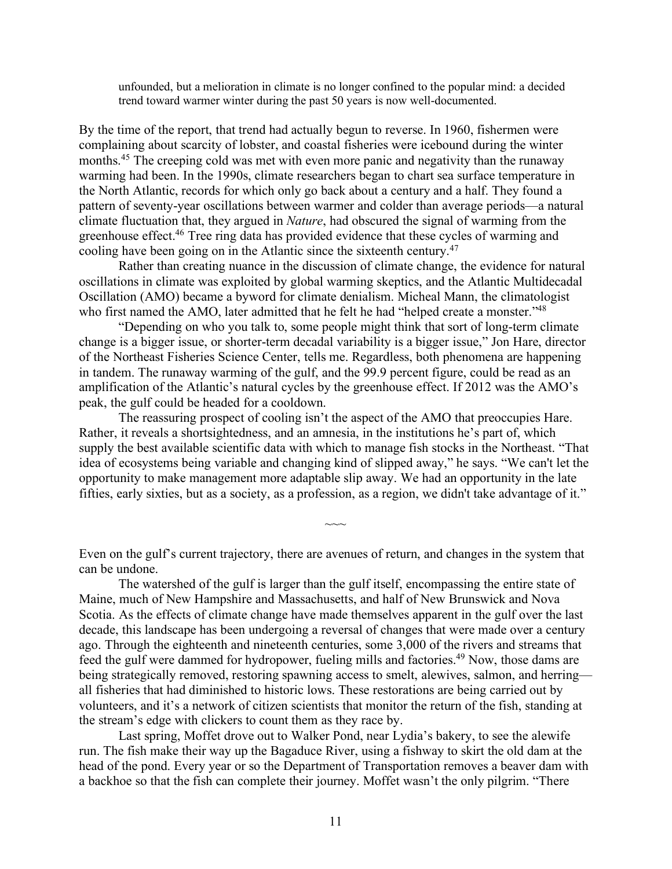unfounded, but a melioration in climate is no longer confined to the popular mind: a decided trend toward warmer winter during the past 50 years is now well-documented.

By the time of the report, that trend had actually begun to reverse. In 1960, fishermen were complaining about scarcity of lobster, and coastal fisheries were icebound during the winter months.<sup>45</sup> The creeping cold was met with even more panic and negativity than the runaway warming had been. In the 1990s, climate researchers began to chart sea surface temperature in the North Atlantic, records for which only go back about a century and a half. They found a pattern of seventy-year oscillations between warmer and colder than average periods—a natural climate fluctuation that, they argued in *Nature*, had obscured the signal of warming from the greenhouse effect. <sup>46</sup> Tree ring data has provided evidence that these cycles of warming and cooling have been going on in the Atlantic since the sixteenth century. 47

Rather than creating nuance in the discussion of climate change, the evidence for natural oscillations in climate was exploited by global warming skeptics, and the Atlantic Multidecadal Oscillation (AMO) became a byword for climate denialism. Micheal Mann, the climatologist who first named the AMO, later admitted that he felt he had "helped create a monster."<sup>48</sup>

"Depending on who you talk to, some people might think that sort of long-term climate change is a bigger issue, or shorter-term decadal variability is a bigger issue," Jon Hare, director of the Northeast Fisheries Science Center, tells me. Regardless, both phenomena are happening in tandem. The runaway warming of the gulf, and the 99.9 percent figure, could be read as an amplification of the Atlantic's natural cycles by the greenhouse effect. If 2012 was the AMO's peak, the gulf could be headed for a cooldown.

The reassuring prospect of cooling isn't the aspect of the AMO that preoccupies Hare. Rather, it reveals a shortsightedness, and an amnesia, in the institutions he's part of, which supply the best available scientific data with which to manage fish stocks in the Northeast. "That idea of ecosystems being variable and changing kind of slipped away," he says. "We can't let the opportunity to make management more adaptable slip away. We had an opportunity in the late fifties, early sixties, but as a society, as a profession, as a region, we didn't take advantage of it."

Even on the gulf's current trajectory, there are avenues of return, and changes in the system that can be undone.

 $\sim\sim$ 

The watershed of the gulf is larger than the gulf itself, encompassing the entire state of Maine, much of New Hampshire and Massachusetts, and half of New Brunswick and Nova Scotia. As the effects of climate change have made themselves apparent in the gulf over the last decade, this landscape has been undergoing a reversal of changes that were made over a century ago. Through the eighteenth and nineteenth centuries, some 3,000 of the rivers and streams that feed the gulf were dammed for hydropower, fueling mills and factories.<sup>49</sup> Now, those dams are being strategically removed, restoring spawning access to smelt, alewives, salmon, and herring all fisheries that had diminished to historic lows. These restorations are being carried out by volunteers, and it's a network of citizen scientists that monitor the return of the fish, standing at the stream's edge with clickers to count them as they race by.

Last spring, Moffet drove out to Walker Pond, near Lydia's bakery, to see the alewife run. The fish make their way up the Bagaduce River, using a fishway to skirt the old dam at the head of the pond. Every year or so the Department of Transportation removes a beaver dam with a backhoe so that the fish can complete their journey. Moffet wasn't the only pilgrim. "There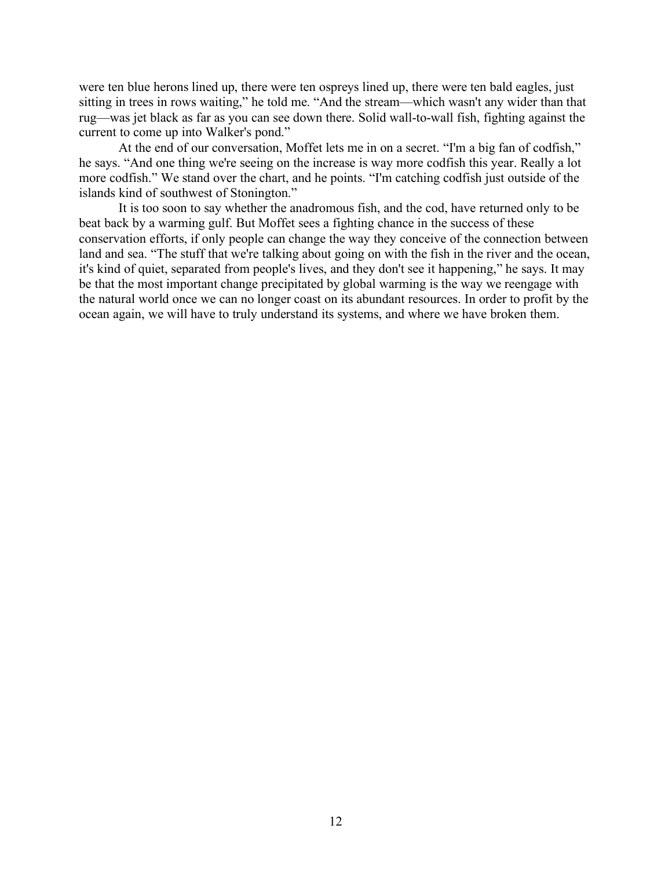were ten blue herons lined up, there were ten ospreys lined up, there were ten bald eagles, just sitting in trees in rows waiting," he told me. "And the stream—which wasn't any wider than that rug—was jet black as far as you can see down there. Solid wall-to-wall fish, fighting against the current to come up into Walker's pond."

At the end of our conversation, Moffet lets me in on a secret. "I'm a big fan of codfish," he says. "And one thing we're seeing on the increase is way more codfish this year. Really a lot more codfish." We stand over the chart, and he points. "I'm catching codfish just outside of the islands kind of southwest of Stonington."

It is too soon to say whether the anadromous fish, and the cod, have returned only to be beat back by a warming gulf. But Moffet sees a fighting chance in the success of these conservation efforts, if only people can change the way they conceive of the connection between land and sea. "The stuff that we're talking about going on with the fish in the river and the ocean, it's kind of quiet, separated from people's lives, and they don't see it happening," he says. It may be that the most important change precipitated by global warming is the way we reengage with the natural world once we can no longer coast on its abundant resources. In order to profit by the ocean again, we will have to truly understand its systems, and where we have broken them.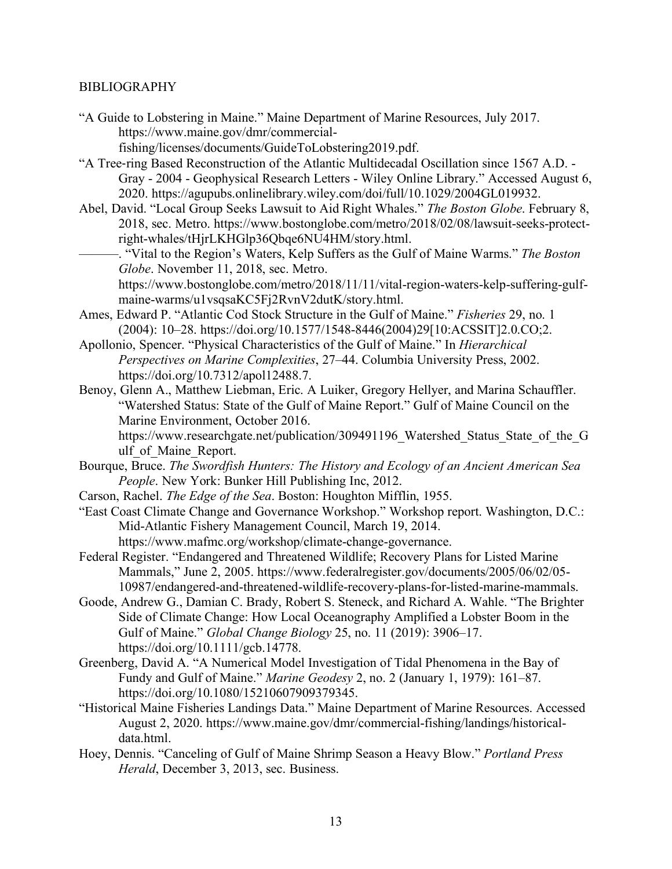### BIBLIOGRAPHY

- "A Guide to Lobstering in Maine." Maine Department of Marine Resources, July 2017. https://www.maine.gov/dmr/commercialfishing/licenses/documents/GuideToLobstering2019.pdf.
- "A Tree-ring Based Reconstruction of the Atlantic Multidecadal Oscillation since 1567 A.D. Gray - 2004 - Geophysical Research Letters - Wiley Online Library." Accessed August 6, 2020. https://agupubs.onlinelibrary.wiley.com/doi/full/10.1029/2004GL019932.
- Abel, David. "Local Group Seeks Lawsuit to Aid Right Whales." *The Boston Globe*. February 8, 2018, sec. Metro. https://www.bostonglobe.com/metro/2018/02/08/lawsuit-seeks-protectright-whales/tHjrLKHGlp36Qbqe6NU4HM/story.html.
- ———. "Vital to the Region's Waters, Kelp Suffers as the Gulf of Maine Warms." *The Boston Globe*. November 11, 2018, sec. Metro. https://www.bostonglobe.com/metro/2018/11/11/vital-region-waters-kelp-suffering-gulfmaine-warms/u1vsqsaKC5Fj2RvnV2dutK/story.html.
- Ames, Edward P. "Atlantic Cod Stock Structure in the Gulf of Maine." *Fisheries* 29, no. 1 (2004): 10–28. https://doi.org/10.1577/1548-8446(2004)29[10:ACSSIT]2.0.CO;2.
- Apollonio, Spencer. "Physical Characteristics of the Gulf of Maine." In *Hierarchical Perspectives on Marine Complexities*, 27–44. Columbia University Press, 2002. https://doi.org/10.7312/apol12488.7.
- Benoy, Glenn A., Matthew Liebman, Eric. A Luiker, Gregory Hellyer, and Marina Schauffler. "Watershed Status: State of the Gulf of Maine Report." Gulf of Maine Council on the Marine Environment, October 2016.

https://www.researchgate.net/publication/309491196 Watershed Status State of the G ulf of Maine Report.

- Bourque, Bruce. *The Swordfish Hunters: The History and Ecology of an Ancient American Sea People*. New York: Bunker Hill Publishing Inc, 2012.
- Carson, Rachel. *The Edge of the Sea*. Boston: Houghton Mifflin, 1955.
- "East Coast Climate Change and Governance Workshop." Workshop report. Washington, D.C.: Mid-Atlantic Fishery Management Council, March 19, 2014. https://www.mafmc.org/workshop/climate-change-governance.
- Federal Register. "Endangered and Threatened Wildlife; Recovery Plans for Listed Marine Mammals," June 2, 2005. https://www.federalregister.gov/documents/2005/06/02/05- 10987/endangered-and-threatened-wildlife-recovery-plans-for-listed-marine-mammals.
- Goode, Andrew G., Damian C. Brady, Robert S. Steneck, and Richard A. Wahle. "The Brighter Side of Climate Change: How Local Oceanography Amplified a Lobster Boom in the Gulf of Maine." *Global Change Biology* 25, no. 11 (2019): 3906–17. https://doi.org/10.1111/gcb.14778.
- Greenberg, David A. "A Numerical Model Investigation of Tidal Phenomena in the Bay of Fundy and Gulf of Maine." *Marine Geodesy* 2, no. 2 (January 1, 1979): 161–87. https://doi.org/10.1080/15210607909379345.
- "Historical Maine Fisheries Landings Data." Maine Department of Marine Resources. Accessed August 2, 2020. https://www.maine.gov/dmr/commercial-fishing/landings/historicaldata.html.
- Hoey, Dennis. "Canceling of Gulf of Maine Shrimp Season a Heavy Blow." *Portland Press Herald*, December 3, 2013, sec. Business.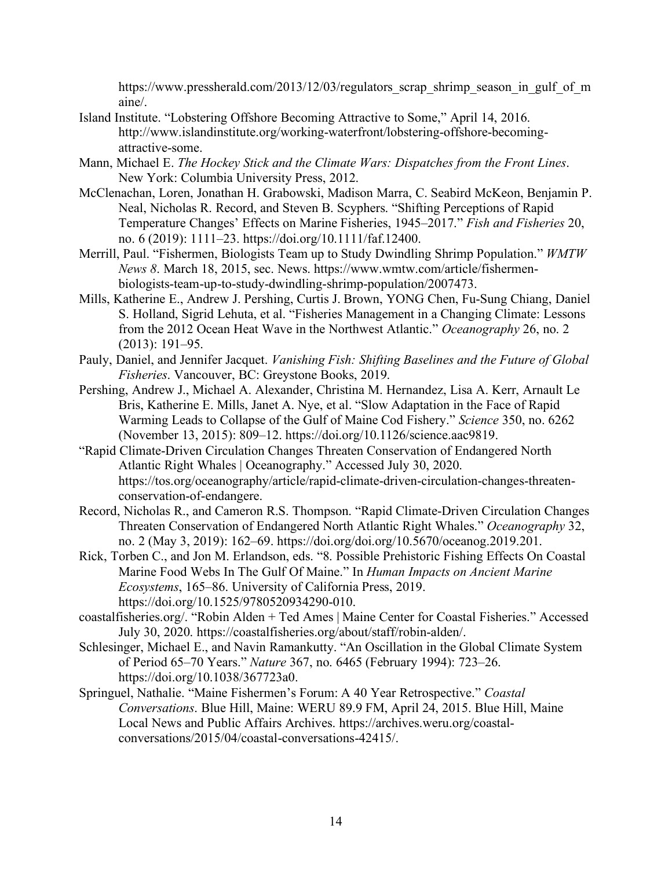https://www.pressherald.com/2013/12/03/regulators scrap\_shrimp\_season\_in\_gulf\_of\_m aine/.

- Island Institute. "Lobstering Offshore Becoming Attractive to Some," April 14, 2016. http://www.islandinstitute.org/working-waterfront/lobstering-offshore-becomingattractive-some.
- Mann, Michael E. *The Hockey Stick and the Climate Wars: Dispatches from the Front Lines*. New York: Columbia University Press, 2012.
- McClenachan, Loren, Jonathan H. Grabowski, Madison Marra, C. Seabird McKeon, Benjamin P. Neal, Nicholas R. Record, and Steven B. Scyphers. "Shifting Perceptions of Rapid Temperature Changes' Effects on Marine Fisheries, 1945–2017." *Fish and Fisheries* 20, no. 6 (2019): 1111–23. https://doi.org/10.1111/faf.12400.
- Merrill, Paul. "Fishermen, Biologists Team up to Study Dwindling Shrimp Population." *WMTW News 8*. March 18, 2015, sec. News. https://www.wmtw.com/article/fishermenbiologists-team-up-to-study-dwindling-shrimp-population/2007473.
- Mills, Katherine E., Andrew J. Pershing, Curtis J. Brown, YONG Chen, Fu-Sung Chiang, Daniel S. Holland, Sigrid Lehuta, et al. "Fisheries Management in a Changing Climate: Lessons from the 2012 Ocean Heat Wave in the Northwest Atlantic." *Oceanography* 26, no. 2 (2013): 191–95.
- Pauly, Daniel, and Jennifer Jacquet. *Vanishing Fish: Shifting Baselines and the Future of Global Fisheries*. Vancouver, BC: Greystone Books, 2019.
- Pershing, Andrew J., Michael A. Alexander, Christina M. Hernandez, Lisa A. Kerr, Arnault Le Bris, Katherine E. Mills, Janet A. Nye, et al. "Slow Adaptation in the Face of Rapid Warming Leads to Collapse of the Gulf of Maine Cod Fishery." *Science* 350, no. 6262 (November 13, 2015): 809–12. https://doi.org/10.1126/science.aac9819.
- "Rapid Climate-Driven Circulation Changes Threaten Conservation of Endangered North Atlantic Right Whales | Oceanography." Accessed July 30, 2020. https://tos.org/oceanography/article/rapid-climate-driven-circulation-changes-threatenconservation-of-endangere.
- Record, Nicholas R., and Cameron R.S. Thompson. "Rapid Climate-Driven Circulation Changes Threaten Conservation of Endangered North Atlantic Right Whales." *Oceanography* 32, no. 2 (May 3, 2019): 162–69. https://doi.org/doi.org/10.5670/oceanog.2019.201.
- Rick, Torben C., and Jon M. Erlandson, eds. "8. Possible Prehistoric Fishing Effects On Coastal Marine Food Webs In The Gulf Of Maine." In *Human Impacts on Ancient Marine Ecosystems*, 165–86. University of California Press, 2019. https://doi.org/10.1525/9780520934290-010.
- coastalfisheries.org/. "Robin Alden + Ted Ames | Maine Center for Coastal Fisheries." Accessed July 30, 2020. https://coastalfisheries.org/about/staff/robin-alden/.
- Schlesinger, Michael E., and Navin Ramankutty. "An Oscillation in the Global Climate System of Period 65–70 Years." *Nature* 367, no. 6465 (February 1994): 723–26. https://doi.org/10.1038/367723a0.
- Springuel, Nathalie. "Maine Fishermen's Forum: A 40 Year Retrospective." *Coastal Conversations*. Blue Hill, Maine: WERU 89.9 FM, April 24, 2015. Blue Hill, Maine Local News and Public Affairs Archives. https://archives.weru.org/coastalconversations/2015/04/coastal-conversations-42415/.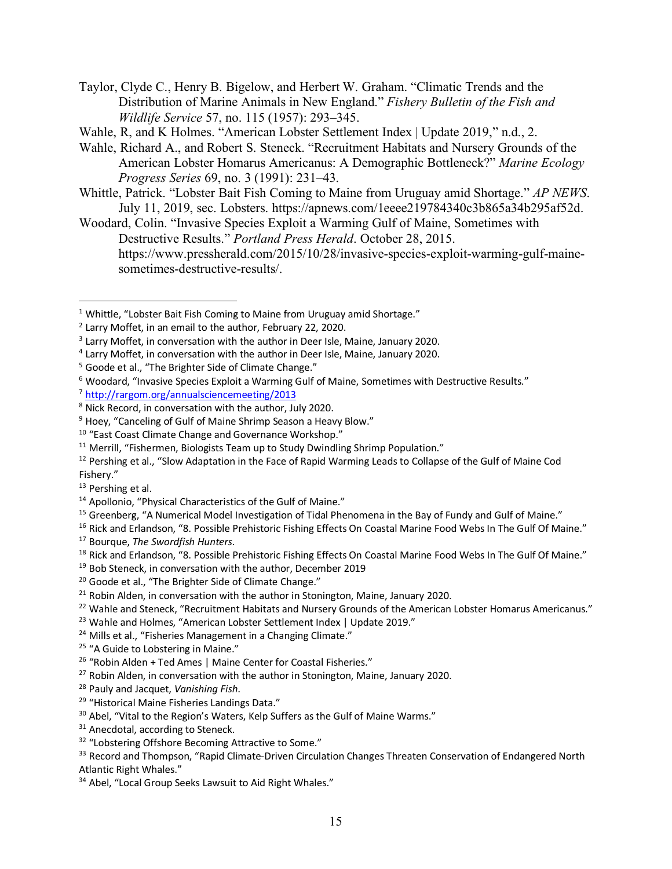- Taylor, Clyde C., Henry B. Bigelow, and Herbert W. Graham. "Climatic Trends and the Distribution of Marine Animals in New England." *Fishery Bulletin of the Fish and Wildlife Service* 57, no. 115 (1957): 293–345.
- Wahle, R, and K Holmes. "American Lobster Settlement Index | Update 2019," n.d., 2.
- Wahle, Richard A., and Robert S. Steneck. "Recruitment Habitats and Nursery Grounds of the American Lobster Homarus Americanus: A Demographic Bottleneck?" *Marine Ecology Progress Series* 69, no. 3 (1991): 231–43.
- Whittle, Patrick. "Lobster Bait Fish Coming to Maine from Uruguay amid Shortage." *AP NEWS*. July 11, 2019, sec. Lobsters. https://apnews.com/1eeee219784340c3b865a34b295af52d.
- Woodard, Colin. "Invasive Species Exploit a Warming Gulf of Maine, Sometimes with Destructive Results." *Portland Press Herald*. October 28, 2015. https://www.pressherald.com/2015/10/28/invasive-species-exploit-warming-gulf-mainesometimes-destructive-results/.

<sup>4</sup> Larry Moffet, in conversation with the author in Deer Isle, Maine, January 2020.

 $\overline{a}$ 

- $27$  Robin Alden, in conversation with the author in Stonington, Maine, January 2020.
- <sup>28</sup> Pauly and Jacquet, *Vanishing Fish*.
- <sup>29</sup> "Historical Maine Fisheries Landings Data."

<sup>31</sup> Anecdotal, according to Steneck.

<sup>&</sup>lt;sup>1</sup> Whittle, "Lobster Bait Fish Coming to Maine from Uruguay amid Shortage."

<sup>2</sup> Larry Moffet, in an email to the author, February 22, 2020.

<sup>&</sup>lt;sup>3</sup> Larry Moffet, in conversation with the author in Deer Isle, Maine, January 2020.

<sup>5</sup> Goode et al., "The Brighter Side of Climate Change."

<sup>6</sup> Woodard, "Invasive Species Exploit a Warming Gulf of Maine, Sometimes with Destructive Results."

<sup>7</sup> http://rargom.org/annualsciencemeeting/2013

<sup>8</sup> Nick Record, in conversation with the author, July 2020.

<sup>&</sup>lt;sup>9</sup> Hoey, "Canceling of Gulf of Maine Shrimp Season a Heavy Blow."

<sup>10</sup> "East Coast Climate Change and Governance Workshop."

<sup>&</sup>lt;sup>11</sup> Merrill, "Fishermen, Biologists Team up to Study Dwindling Shrimp Population."

<sup>&</sup>lt;sup>12</sup> Pershing et al., "Slow Adaptation in the Face of Rapid Warming Leads to Collapse of the Gulf of Maine Cod Fishery."

<sup>&</sup>lt;sup>13</sup> Pershing et al.

<sup>&</sup>lt;sup>14</sup> Apollonio, "Physical Characteristics of the Gulf of Maine."

<sup>&</sup>lt;sup>15</sup> Greenberg, "A Numerical Model Investigation of Tidal Phenomena in the Bay of Fundy and Gulf of Maine."

<sup>&</sup>lt;sup>16</sup> Rick and Erlandson, "8. Possible Prehistoric Fishing Effects On Coastal Marine Food Webs In The Gulf Of Maine." <sup>17</sup> Bourque, *The Swordfish Hunters*.

<sup>&</sup>lt;sup>18</sup> Rick and Erlandson, "8. Possible Prehistoric Fishing Effects On Coastal Marine Food Webs In The Gulf Of Maine."

<sup>&</sup>lt;sup>19</sup> Bob Steneck, in conversation with the author, December 2019

<sup>&</sup>lt;sup>20</sup> Goode et al., "The Brighter Side of Climate Change."

 $21$  Robin Alden, in conversation with the author in Stonington, Maine, January 2020.

<sup>&</sup>lt;sup>22</sup> Wahle and Steneck, "Recruitment Habitats and Nursery Grounds of the American Lobster Homarus Americanus."

<sup>&</sup>lt;sup>23</sup> Wahle and Holmes, "American Lobster Settlement Index | Update 2019."

<sup>&</sup>lt;sup>24</sup> Mills et al., "Fisheries Management in a Changing Climate."

<sup>&</sup>lt;sup>25</sup> "A Guide to Lobstering in Maine."

<sup>&</sup>lt;sup>26</sup> "Robin Alden + Ted Ames | Maine Center for Coastal Fisheries."

<sup>&</sup>lt;sup>30</sup> Abel, "Vital to the Region's Waters, Kelp Suffers as the Gulf of Maine Warms."

<sup>&</sup>lt;sup>32</sup> "Lobstering Offshore Becoming Attractive to Some."

<sup>&</sup>lt;sup>33</sup> Record and Thompson, "Rapid Climate-Driven Circulation Changes Threaten Conservation of Endangered North Atlantic Right Whales."

<sup>&</sup>lt;sup>34</sup> Abel, "Local Group Seeks Lawsuit to Aid Right Whales."